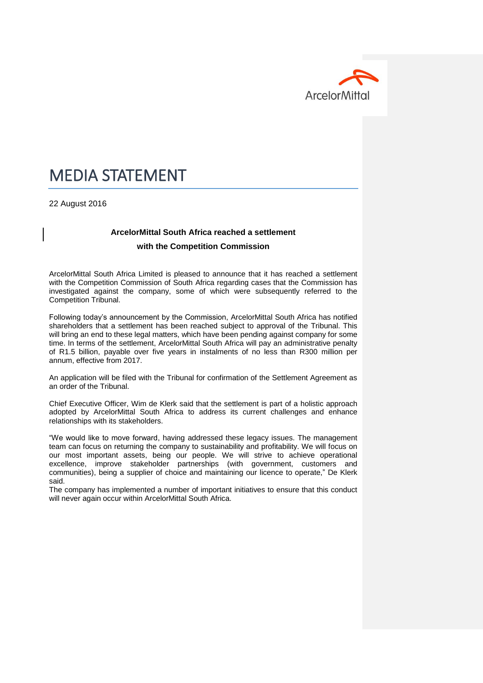

# MEDIA STATEMENT

22 August 2016

#### **ArcelorMittal South Africa reached a settlement**

#### **with the Competition Commission**

ArcelorMittal South Africa Limited is pleased to announce that it has reached a settlement with the Competition Commission of South Africa regarding cases that the Commission has investigated against the company, some of which were subsequently referred to the Competition Tribunal.

Following today's announcement by the Commission, ArcelorMittal South Africa has notified shareholders that a settlement has been reached subject to approval of the Tribunal. This will bring an end to these legal matters, which have been pending against company for some time. In terms of the settlement, ArcelorMittal South Africa will pay an administrative penalty of R1.5 billion, payable over five years in instalments of no less than R300 million per annum, effective from 2017.

An application will be filed with the Tribunal for confirmation of the Settlement Agreement as an order of the Tribunal.

Chief Executive Officer, Wim de Klerk said that the settlement is part of a holistic approach adopted by ArcelorMittal South Africa to address its current challenges and enhance relationships with its stakeholders.

"We would like to move forward, having addressed these legacy issues. The management team can focus on returning the company to sustainability and profitability. We will focus on our most important assets, being our people. We will strive to achieve operational excellence, improve stakeholder partnerships (with government, customers and communities), being a supplier of choice and maintaining our licence to operate," De Klerk said.

The company has implemented a number of important initiatives to ensure that this conduct will never again occur within ArcelorMittal South Africa.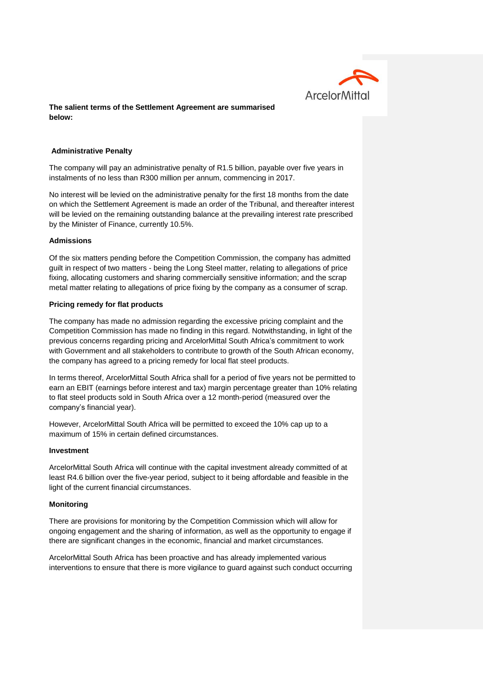

# **The salient terms of the Settlement Agreement are summarised below:**

# **Administrative Penalty**

The company will pay an administrative penalty of R1.5 billion, payable over five years in instalments of no less than R300 million per annum, commencing in 2017.

No interest will be levied on the administrative penalty for the first 18 months from the date on which the Settlement Agreement is made an order of the Tribunal, and thereafter interest will be levied on the remaining outstanding balance at the prevailing interest rate prescribed by the Minister of Finance, currently 10.5%.

# **Admissions**

Of the six matters pending before the Competition Commission, the company has admitted guilt in respect of two matters - being the Long Steel matter, relating to allegations of price fixing, allocating customers and sharing commercially sensitive information; and the scrap metal matter relating to allegations of price fixing by the company as a consumer of scrap.

# **Pricing remedy for flat products**

The company has made no admission regarding the excessive pricing complaint and the Competition Commission has made no finding in this regard. Notwithstanding, in light of the previous concerns regarding pricing and ArcelorMittal South Africa's commitment to work with Government and all stakeholders to contribute to growth of the South African economy, the company has agreed to a pricing remedy for local flat steel products.

In terms thereof, ArcelorMittal South Africa shall for a period of five years not be permitted to earn an EBIT (earnings before interest and tax) margin percentage greater than 10% relating to flat steel products sold in South Africa over a 12 month-period (measured over the company's financial year).

However, ArcelorMittal South Africa will be permitted to exceed the 10% cap up to a maximum of 15% in certain defined circumstances.

#### **Investment**

ArcelorMittal South Africa will continue with the capital investment already committed of at least R4.6 billion over the five-year period, subject to it being affordable and feasible in the light of the current financial circumstances.

# **Monitoring**

There are provisions for monitoring by the Competition Commission which will allow for ongoing engagement and the sharing of information, as well as the opportunity to engage if there are significant changes in the economic, financial and market circumstances.

ArcelorMittal South Africa has been proactive and has already implemented various interventions to ensure that there is more vigilance to guard against such conduct occurring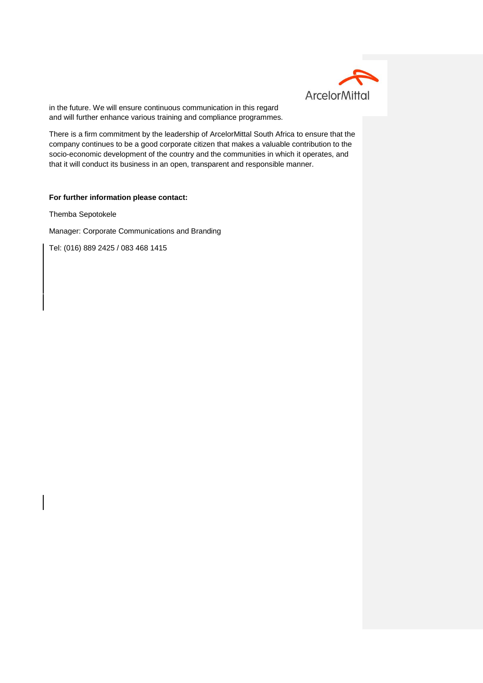

in the future. We will ensure continuous communication in this regard and will further enhance various training and compliance programmes.

There is a firm commitment by the leadership of ArcelorMittal South Africa to ensure that the company continues to be a good corporate citizen that makes a valuable contribution to the socio-economic development of the country and the communities in which it operates, and that it will conduct its business in an open, transparent and responsible manner.

#### **For further information please contact:**

Themba Sepotokele

Manager: Corporate Communications and Branding

Tel: (016) 889 2425 / 083 468 1415